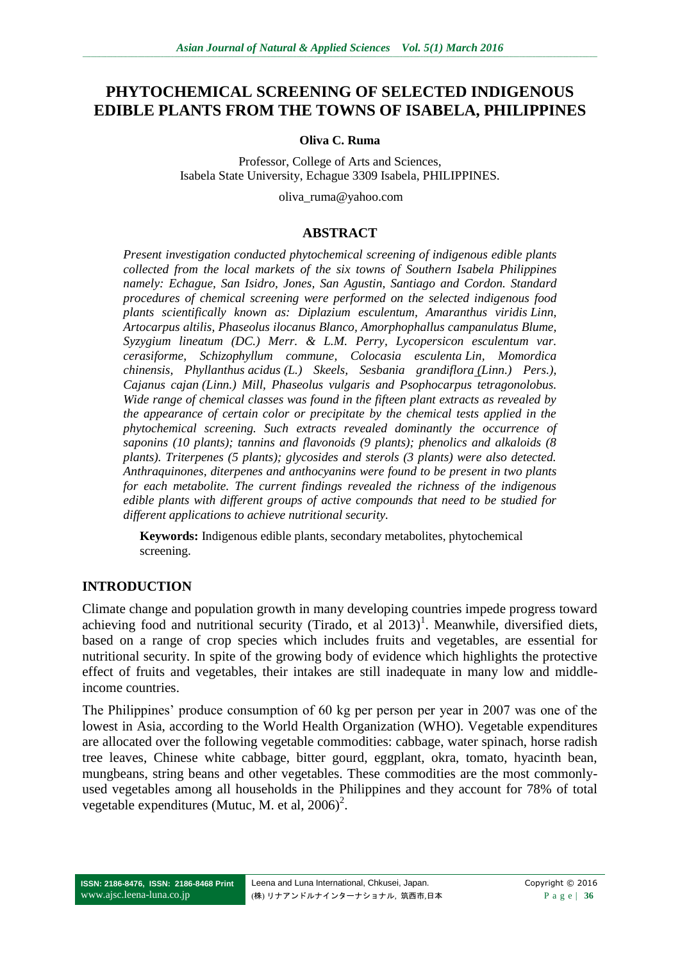# **PHYTOCHEMICAL SCREENING OF SELECTED INDIGENOUS EDIBLE PLANTS FROM THE TOWNS OF ISABELA, PHILIPPINES**

#### **Oliva C. Ruma**

Professor, College of Arts and Sciences, Isabela State University, Echague 3309 Isabela, PHILIPPINES.

oliva\_ruma@yahoo.com

#### **ABSTRACT**

*Present investigation conducted phytochemical screening of indigenous edible plants collected from the local markets of the six towns of Southern Isabela Philippines namely: Echague, San Isidro, Jones, San Agustin, Santiago and Cordon. Standard procedures of chemical screening were performed on the selected indigenous food plants scientifically known as: Diplazium esculentum, Amaranthus viridis Linn, Artocarpus altilis, Phaseolus ilocanus Blanco, Amorphophallus campanulatus Blume, Syzygium lineatum (DC.) Merr. & L.M. Perry, Lycopersicon esculentum var. cerasiforme, Schizophyllum commune, Colocasia esculenta Lin, Momordica chinensis, Phyllanthus acidus (L.) Skeels, Sesbania grandiflora (Linn.) Pers.), Cajanus cajan (Linn.) Mill, Phaseolus vulgaris and Psophocarpus tetragonolobus. Wide range of chemical classes was found in the fifteen plant extracts as revealed by the appearance of certain color or precipitate by the chemical tests applied in the phytochemical screening. Such extracts revealed dominantly the occurrence of saponins (10 plants); tannins and flavonoids (9 plants); phenolics and alkaloids (8 plants). Triterpenes (5 plants); glycosides and sterols (3 plants) were also detected. Anthraquinones, diterpenes and anthocyanins were found to be present in two plants for each metabolite. The current findings revealed the richness of the indigenous edible plants with different groups of active compounds that need to be studied for different applications to achieve nutritional security.*

**Keywords:** Indigenous edible plants, secondary metabolites, phytochemical screening.

### **INTRODUCTION**

Climate change and population growth in many developing countries impede progress toward achieving food and nutritional security (Tirado, et al  $2013$ )<sup>1</sup>. Meanwhile, diversified diets, based on a range of crop species which includes fruits and vegetables, are essential for nutritional security. In spite of the growing body of evidence which highlights the protective effect of fruits and vegetables, their intakes are still inadequate in many low and middleincome countries.

The Philippines' produce consumption of 60 kg per person per year in 2007 was one of the lowest in Asia, according to the World Health Organization (WHO). Vegetable expenditures are allocated over the following vegetable commodities: cabbage, water spinach, horse radish tree leaves, Chinese white cabbage, bitter gourd, eggplant, okra, tomato, hyacinth bean, mungbeans, string beans and other vegetables. These commodities are the most commonlyused vegetables among all households in the Philippines and they account for 78% of total vegetable expenditures (Mutuc, M. et al,  $2006$ )<sup>2</sup>.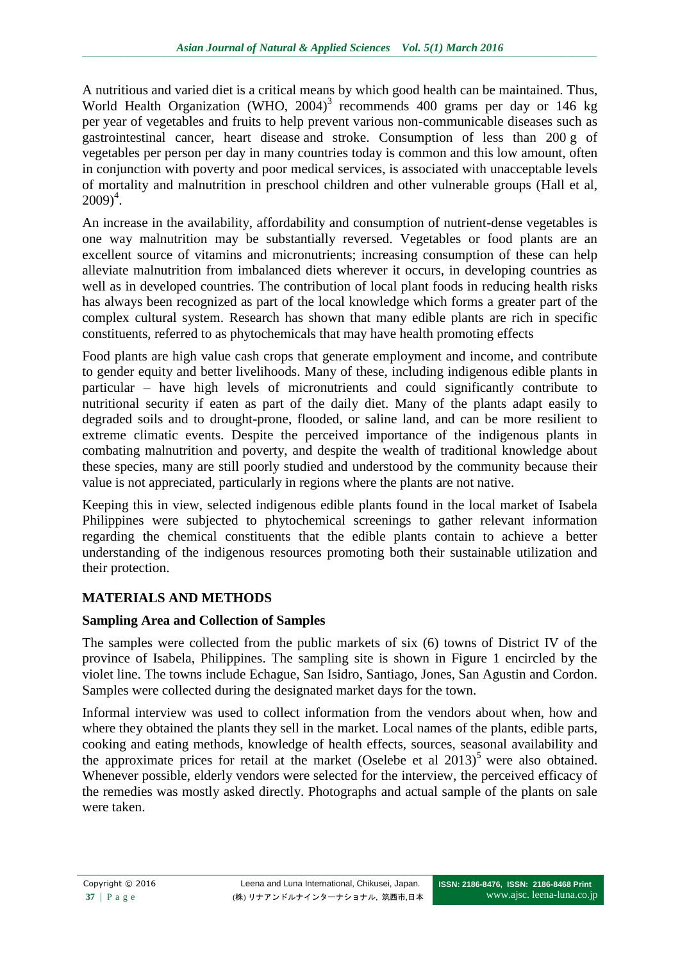A nutritious and varied diet is a critical means by which good health can be maintained. Thus, World Health Organization (WHO,  $2004$ )<sup>3</sup> recommends 400 grams per day or 146 kg per year of vegetables and fruits to help prevent various non-communicable diseases such as gastrointestinal cancer, heart disease and stroke. Consumption of less than 200 g of vegetables per person per day in many countries today is common and this low amount, often in conjunction with poverty and poor medical services, is associated with unacceptable levels of mortality and malnutrition in preschool children and other vulnerable groups (Hall et al,  $2009)^4$ .

An increase in the availability, affordability and consumption of nutrient-dense vegetables is one way malnutrition may be substantially reversed. Vegetables or food plants are an excellent source of vitamins and micronutrients; increasing consumption of these can help alleviate malnutrition from imbalanced diets wherever it occurs, in developing countries as well as in developed countries. The contribution of local plant foods in reducing health risks has always been recognized as part of the local knowledge which forms a greater part of the complex cultural system. Research has shown that many edible plants are rich in specific constituents, referred to as phytochemicals that may have health promoting effects

Food plants are high value cash crops that generate employment and income, and contribute to gender equity and better livelihoods. Many of these, including indigenous edible plants in particular – have high levels of micronutrients and could significantly contribute to nutritional security if eaten as part of the daily diet. Many of the plants adapt easily to degraded soils and to drought-prone, flooded, or saline land, and can be more resilient to extreme climatic events. Despite the perceived importance of the indigenous plants in combating malnutrition and poverty, and despite the wealth of traditional knowledge about these species, many are still poorly studied and understood by the community because their value is not appreciated, particularly in regions where the plants are not native.

Keeping this in view, selected indigenous edible plants found in the local market of Isabela Philippines were subjected to phytochemical screenings to gather relevant information regarding the chemical constituents that the edible plants contain to achieve a better understanding of the indigenous resources promoting both their sustainable utilization and their protection.

# **MATERIALS AND METHODS**

# **Sampling Area and Collection of Samples**

The samples were collected from the public markets of six (6) towns of District IV of the province of Isabela, Philippines. The sampling site is shown in Figure 1 encircled by the violet line. The towns include Echague, San Isidro, Santiago, Jones, San Agustin and Cordon. Samples were collected during the designated market days for the town.

Informal interview was used to collect information from the vendors about when, how and where they obtained the plants they sell in the market. Local names of the plants, edible parts, cooking and eating methods, knowledge of health effects, sources, seasonal availability and the approximate prices for retail at the market  $(Oselebe et al 2013)^5$  were also obtained. Whenever possible, elderly vendors were selected for the interview, the perceived efficacy of the remedies was mostly asked directly. Photographs and actual sample of the plants on sale were taken.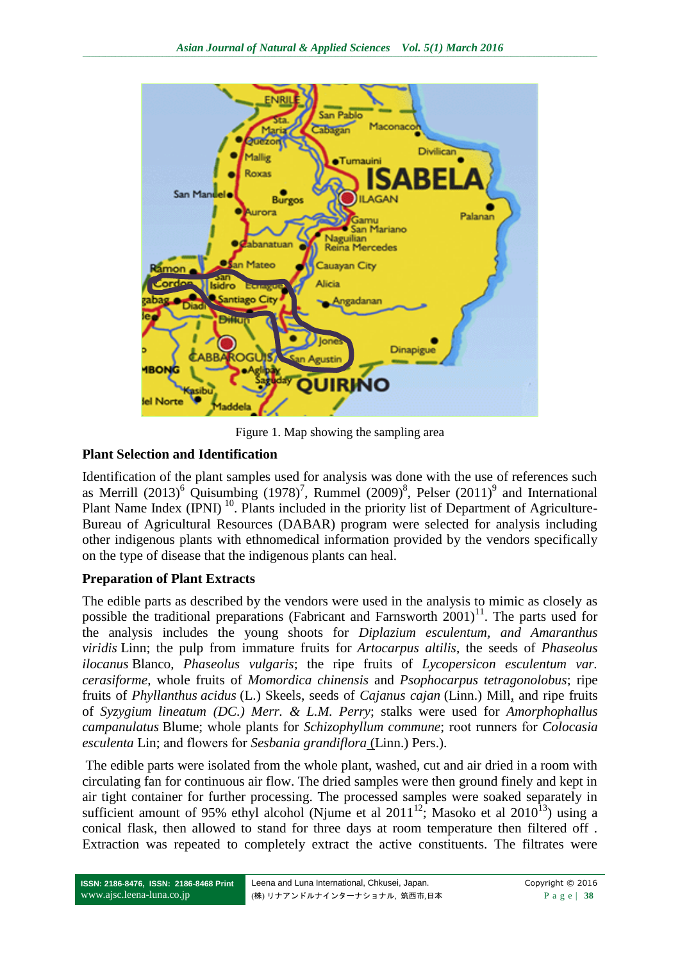

Figure 1. Map showing the sampling area

# **Plant Selection and Identification**

Identification of the plant samples used for analysis was done with the use of references such as Merrill  $(2013)^6$  Quisumbing  $(1978)^7$ , Rummel  $(2009)^8$ , Pelser  $(2011)^9$  and International Plant Name Index (IPNI)<sup>10</sup>. Plants included in the priority list of Department of Agriculture-Bureau of Agricultural Resources (DABAR) program were selected for analysis including other indigenous plants with ethnomedical information provided by the vendors specifically on the type of disease that the indigenous plants can heal.

# **Preparation of Plant Extracts**

The edible parts as described by the vendors were used in the analysis to mimic as closely as possible the traditional preparations (Fabricant and Farnsworth  $2001$ )<sup>11</sup>. The parts used for the analysis includes the young shoots for *Diplazium esculentum, and Amaranthus viridis* Linn; the pulp from immature fruits for *Artocarpus altilis*, the seeds of *Phaseolus ilocanus* Blanco, *Phaseolus vulgaris*; the ripe fruits of *Lycopersicon esculentum var. cerasiforme*, whole fruits of *Momordica chinensis* and *Psophocarpus tetragonolobus*; ripe fruits of *Phyllanthus acidus* (L.) Skeels, seeds of *Cajanus cajan* (Linn.) Mill, and ripe fruits of *Syzygium lineatum (DC.) Merr. & L.M. Perry*; stalks were used for *Amorphophallus campanulatus* Blume; whole plants for *Schizophyllum commune*; root runners for *Colocasia esculenta* Lin; and flowers for *Sesbania grandiflora* (Linn.) Pers.).

The edible parts were isolated from the whole plant, washed, cut and air dried in a room with circulating fan for continuous air flow. The dried samples were then ground finely and kept in air tight container for further processing. The processed samples were soaked separately in sufficient amount of 95% ethyl alcohol (Njume et al  $2011^{12}$ ; Masoko et al  $2010^{13}$ ) using a conical flask, then allowed to stand for three days at room temperature then filtered off . Extraction was repeated to completely extract the active constituents. The filtrates were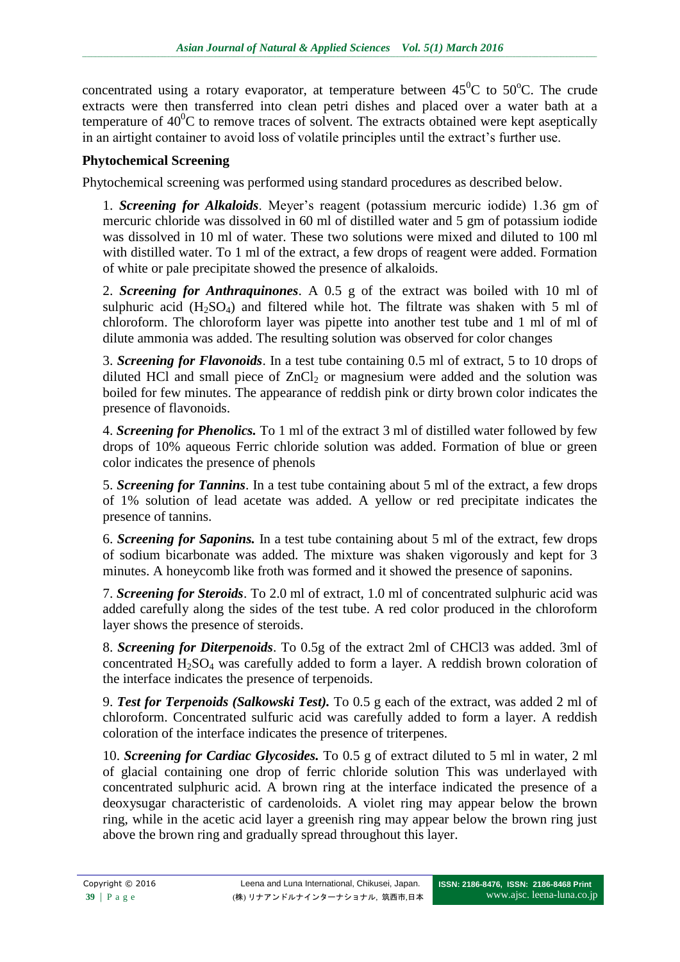concentrated using a rotary evaporator, at temperature between  $45^{\circ}$ C to  $50^{\circ}$ C. The crude extracts were then transferred into clean petri dishes and placed over a water bath at a temperature of  $40^{\circ}$ C to remove traces of solvent. The extracts obtained were kept aseptically in an airtight container to avoid loss of volatile principles until the extract's further use.

### **Phytochemical Screening**

Phytochemical screening was performed using standard procedures as described below.

1. *Screening for Alkaloids*. Meyer's reagent (potassium mercuric iodide) 1.36 gm of mercuric chloride was dissolved in 60 ml of distilled water and 5 gm of potassium iodide was dissolved in 10 ml of water. These two solutions were mixed and diluted to 100 ml with distilled water. To 1 ml of the extract, a few drops of reagent were added. Formation of white or pale precipitate showed the presence of alkaloids.

2. *Screening for Anthraquinones*. A 0.5 g of the extract was boiled with 10 ml of sulphuric acid  $(H_2SO_4)$  and filtered while hot. The filtrate was shaken with 5 ml of chloroform. The chloroform layer was pipette into another test tube and 1 ml of ml of dilute ammonia was added. The resulting solution was observed for color changes

3. *Screening for Flavonoids*. In a test tube containing 0.5 ml of extract, 5 to 10 drops of diluted HCl and small piece of  $ZnCl<sub>2</sub>$  or magnesium were added and the solution was boiled for few minutes. The appearance of reddish pink or dirty brown color indicates the presence of flavonoids.

4. *Screening for Phenolics.* To 1 ml of the extract 3 ml of distilled water followed by few drops of 10% aqueous Ferric chloride solution was added. Formation of blue or green color indicates the presence of phenols

5. *Screening for Tannins*. In a test tube containing about 5 ml of the extract, a few drops of 1% solution of lead acetate was added. A yellow or red precipitate indicates the presence of tannins.

6. *Screening for Saponins.* In a test tube containing about 5 ml of the extract, few drops of sodium bicarbonate was added. The mixture was shaken vigorously and kept for 3 minutes. A honeycomb like froth was formed and it showed the presence of saponins.

7. *Screening for Steroids*. To 2.0 ml of extract, 1.0 ml of concentrated sulphuric acid was added carefully along the sides of the test tube. A red color produced in the chloroform layer shows the presence of steroids.

8. *Screening for Diterpenoids*. To 0.5g of the extract 2ml of CHCl3 was added. 3ml of concentrated  $H_2SO_4$  was carefully added to form a layer. A reddish brown coloration of the interface indicates the presence of terpenoids.

9. *Test for Terpenoids (Salkowski Test).* To 0.5 g each of the extract, was added 2 ml of chloroform. Concentrated sulfuric acid was carefully added to form a layer. A reddish coloration of the interface indicates the presence of triterpenes.

10. *Screening for Cardiac Glycosides.* To 0.5 g of extract diluted to 5 ml in water, 2 ml of glacial containing one drop of ferric chloride solution This was underlayed with concentrated sulphuric acid. A brown ring at the interface indicated the presence of a deoxysugar characteristic of cardenoloids. A violet ring may appear below the brown ring, while in the acetic acid layer a greenish ring may appear below the brown ring just above the brown ring and gradually spread throughout this layer.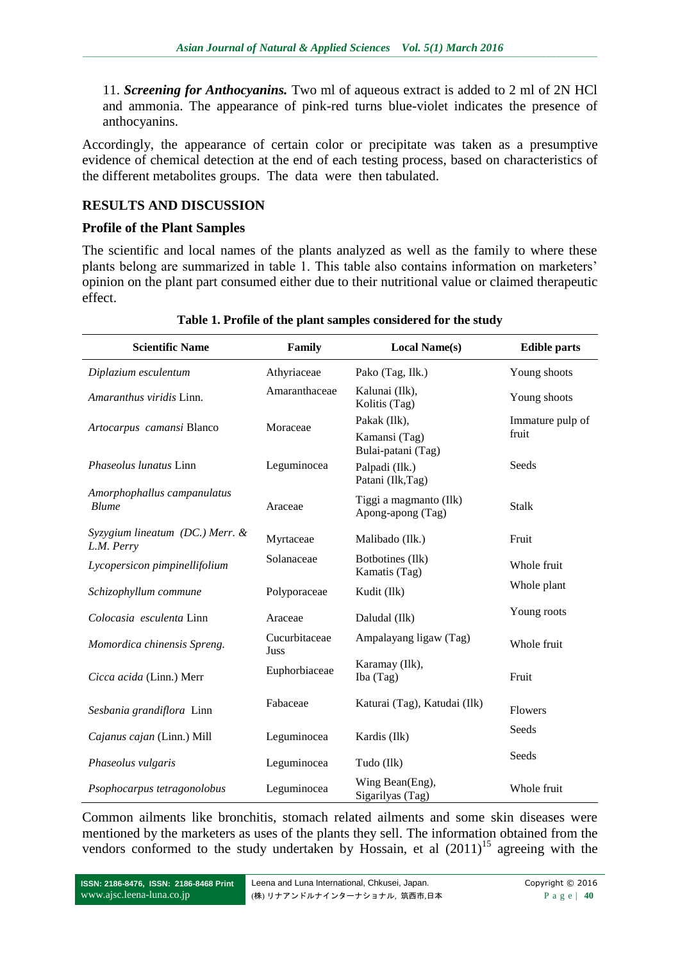11. *Screening for Anthocyanins.* Two ml of aqueous extract is added to 2 ml of 2N HCl and ammonia. The appearance of pink-red turns blue-violet indicates the presence of anthocyanins.

Accordingly, the appearance of certain color or precipitate was taken as a presumptive evidence of chemical detection at the end of each testing process, based on characteristics of the different metabolites groups. The data were then tabulated.

# **RESULTS AND DISCUSSION**

### **Profile of the Plant Samples**

The scientific and local names of the plants analyzed as well as the family to where these plants belong are summarized in table 1. This table also contains information on marketers' opinion on the plant part consumed either due to their nutritional value or claimed therapeutic effect.

| <b>Scientific Name</b>                             | Family                | <b>Local Name(s)</b>                        | <b>Edible parts</b> |  |
|----------------------------------------------------|-----------------------|---------------------------------------------|---------------------|--|
| Diplazium esculentum                               | Athyriaceae           | Pako (Tag, Ilk.)                            | Young shoots        |  |
| Amaranthus viridis Linn.                           | Amaranthaceae         | Kalunai (Ilk),<br>Kolitis (Tag)             | Young shoots        |  |
| Artocarpus camansi Blanco                          | Moraceae              | Pakak (Ilk),                                | Immature pulp of    |  |
|                                                    |                       | Kamansi (Tag)<br>Bulai-patani (Tag)         | fruit               |  |
| Phaseolus lunatus Linn                             | Leguminocea           | Palpadi (Ilk.)<br>Patani (Ilk, Tag)         | Seeds               |  |
| Amorphophallus campanulatus<br><b>Blume</b>        | Araceae               | Tiggi a magmanto (Ilk)<br>Apong-apong (Tag) | <b>Stalk</b>        |  |
| $Syzygium lineatum$ (DC.) Merr. $\&$<br>L.M. Perry | Myrtaceae             | Malibado (Ilk.)                             | Fruit               |  |
| Lycopersicon pimpinellifolium                      | Solanaceae            | Botbotines (Ilk)<br>Kamatis (Tag)           | Whole fruit         |  |
| Schizophyllum commune                              | Polyporaceae          | Kudit (Ilk)                                 | Whole plant         |  |
| Colocasia esculenta Linn                           | Araceae               | Daludal (Ilk)                               | Young roots         |  |
| Momordica chinensis Spreng.                        | Cucurbitaceae<br>Juss | Ampalayang ligaw (Tag)                      | Whole fruit         |  |
| Cicca acida (Linn.) Merr                           | Euphorbiaceae         | Karamay (Ilk),<br>Iba (Tag)                 | Fruit               |  |
| Sesbania grandiflora Linn                          | Fabaceae              | Katurai (Tag), Katudai (Ilk)                | Flowers             |  |
| Cajanus cajan (Linn.) Mill                         | Leguminocea           | Kardis (Ilk)                                | Seeds               |  |
| Phaseolus vulgaris                                 | Leguminocea           | Tudo (Ilk)                                  | Seeds               |  |
| Psophocarpus tetragonolobus                        | Leguminocea           | Wing Bean(Eng),<br>Sigarilyas (Tag)         | Whole fruit         |  |

#### **Table 1. Profile of the plant samples considered for the study**

Common ailments like bronchitis, stomach related ailments and some skin diseases were mentioned by the marketers as uses of the plants they sell. The information obtained from the vendors conformed to the study undertaken by Hossain, et al  $(2011)^{15}$  agreeing with the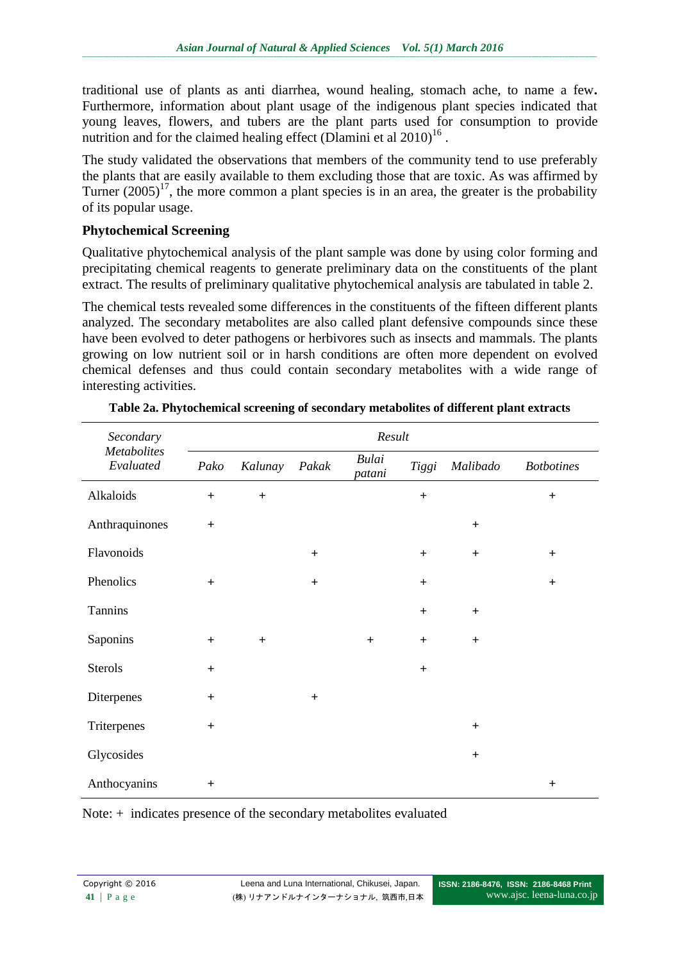traditional use of plants as anti diarrhea, wound healing, stomach ache, to name a few**.** Furthermore, information about plant usage of the indigenous plant species indicated that young leaves, flowers, and tubers are the plant parts used for consumption to provide nutrition and for the claimed healing effect (Dlamini et al  $2010$ )<sup>16</sup>.

The study validated the observations that members of the community tend to use preferably the plants that are easily available to them excluding those that are toxic. As was affirmed by Turner  $(2005)^{17}$ , the more common a plant species is in an area, the greater is the probability of its popular usage.

### **Phytochemical Screening**

Qualitative phytochemical analysis of the plant sample was done by using color forming and precipitating chemical reagents to generate preliminary data on the constituents of the plant extract. The results of preliminary qualitative phytochemical analysis are tabulated in table 2.

The chemical tests revealed some differences in the constituents of the fifteen different plants analyzed. The secondary metabolites are also called plant defensive compounds since these have been evolved to deter pathogens or herbivores such as insects and mammals. The plants growing on low nutrient soil or in harsh conditions are often more dependent on evolved chemical defenses and thus could contain secondary metabolites with a wide range of interesting activities.

| Secondary<br><b>Metabolites</b><br>Evaluated | Result    |                  |       |                        |                |           |                   |  |
|----------------------------------------------|-----------|------------------|-------|------------------------|----------------|-----------|-------------------|--|
|                                              | Pako      | Kalunay          | Pakak | <b>Bulai</b><br>patani | Tiggi          | Malibado  | <b>Botbotines</b> |  |
| Alkaloids                                    | $+$       | $\boldsymbol{+}$ |       |                        | $\ddag$        |           | $^{+}$            |  |
| Anthraquinones                               | $+$       |                  |       |                        |                | $+$       |                   |  |
| Flavonoids                                   |           |                  | $+$   |                        | $\overline{+}$ | $\ddot{}$ | $+$               |  |
| Phenolics                                    | $+$       |                  | $+$   |                        | $\ddag$        |           | $+$               |  |
| Tannins                                      |           |                  |       |                        | $\overline{+}$ | $\ddot{}$ |                   |  |
| Saponins                                     | $+$       | $\ddot{}$        |       | $\ddot{}$              | $\ddot{}$      | $+$       |                   |  |
| Sterols                                      | $\ddot{}$ |                  |       |                        | $\ddag$        |           |                   |  |
| Diterpenes                                   | $\ddot{}$ |                  | $+$   |                        |                |           |                   |  |
| Triterpenes                                  | $\ddot{}$ |                  |       |                        |                | $\ddot{}$ |                   |  |
| Glycosides                                   |           |                  |       |                        |                | $+$       |                   |  |
| Anthocyanins                                 | $\ddot{}$ |                  |       |                        |                |           | $\ddot{}$         |  |

| Table 2a. Phytochemical screening of secondary metabolites of different plant extracts |  |  |  |
|----------------------------------------------------------------------------------------|--|--|--|
|                                                                                        |  |  |  |

Note: + indicates presence of the secondary metabolites evaluated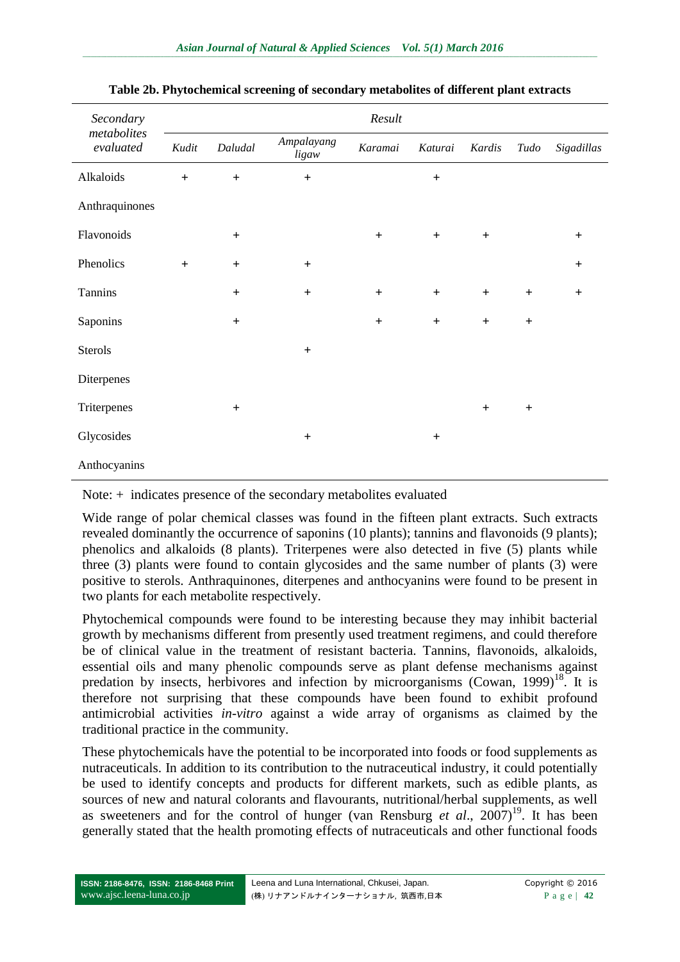| Secondary<br>metabolites<br>evaluated | Result                           |                                  |                     |         |                                  |           |      |            |
|---------------------------------------|----------------------------------|----------------------------------|---------------------|---------|----------------------------------|-----------|------|------------|
|                                       | Kudit                            | Daludal                          | Ampalayang<br>ligaw | Karamai | Katurai                          | Kardis    | Tudo | Sigadillas |
| Alkaloids                             | $+$                              | $\ddot{}$                        | $\qquad \qquad +$   |         | $\ddot{}$                        |           |      |            |
| Anthraquinones                        |                                  |                                  |                     |         |                                  |           |      |            |
| Flavonoids                            |                                  | $\ddot{}$                        |                     | $+$     | $+$                              | $\ddot{}$ |      | $\ddot{}$  |
| Phenolics                             | $\begin{array}{c} + \end{array}$ | $\begin{array}{c} + \end{array}$ | $+$                 |         |                                  |           |      | $\ddot{}$  |
| Tannins                               |                                  | $\ddot{}$                        | $+$                 | $+$     | $\begin{array}{c} + \end{array}$ | $+$       | $+$  | $\ddot{}$  |
| Saponins                              |                                  | $\ddot{}$                        |                     | $+$     | $+$                              | $+$       | $+$  |            |
| Sterols                               |                                  |                                  | $\ddot{}$           |         |                                  |           |      |            |
| Diterpenes                            |                                  |                                  |                     |         |                                  |           |      |            |
| Triterpenes                           |                                  | $+$                              |                     |         |                                  | $+$       | $+$  |            |
| Glycosides                            |                                  |                                  | $\ddot{}$           |         | $\ddot{}$                        |           |      |            |
| Anthocyanins                          |                                  |                                  |                     |         |                                  |           |      |            |

#### **Table 2b. Phytochemical screening of secondary metabolites of different plant extracts**

Note: + indicates presence of the secondary metabolites evaluated

Wide range of polar chemical classes was found in the fifteen plant extracts. Such extracts revealed dominantly the occurrence of saponins (10 plants); tannins and flavonoids (9 plants); phenolics and alkaloids (8 plants). Triterpenes were also detected in five (5) plants while three (3) plants were found to contain glycosides and the same number of plants (3) were positive to sterols. Anthraquinones, diterpenes and anthocyanins were found to be present in two plants for each metabolite respectively.

Phytochemical compounds were found to be interesting because they may inhibit bacterial growth by mechanisms different from presently used treatment regimens, and could therefore be of clinical value in the treatment of resistant bacteria. Tannins, flavonoids, alkaloids, essential oils and many phenolic compounds serve as plant defense mechanisms against predation by insects, herbivores and infection by microorganisms (Cowan, 1999)<sup>18</sup>. It is therefore not surprising that these compounds have been found to exhibit profound antimicrobial activities *in-vitro* against a wide array of organisms as claimed by the traditional practice in the community.

These phytochemicals have the potential to be incorporated into foods or food supplements as nutraceuticals. In addition to its contribution to the nutraceutical industry, it could potentially be used to identify concepts and products for different markets, such as edible plants, as sources of new and natural colorants and flavourants, nutritional/herbal supplements, as well as sweeteners and for the control of hunger (van Rensburg *et al.*,  $2007$ )<sup>19</sup>. It has been generally stated that the health promoting effects of nutraceuticals and other functional foods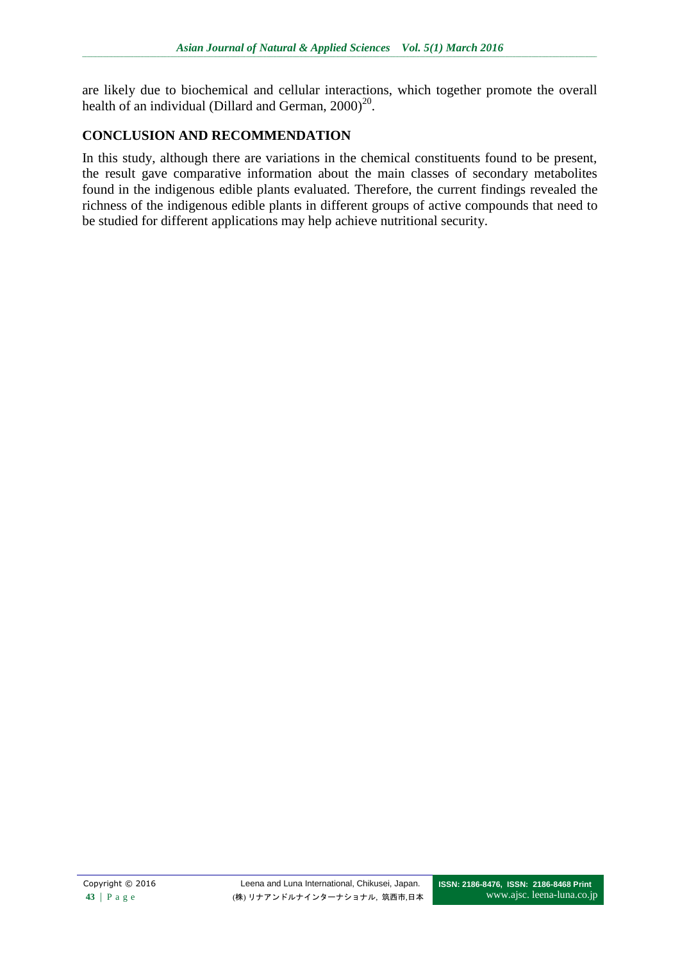are likely due to biochemical and cellular interactions, which together promote the overall health of an individual (Dillard and German,  $2000)^{20}$ .

# **CONCLUSION AND RECOMMENDATION**

In this study, although there are variations in the chemical constituents found to be present, the result gave comparative information about the main classes of secondary metabolites found in the indigenous edible plants evaluated. Therefore, the current findings revealed the richness of the indigenous edible plants in different groups of active compounds that need to be studied for different applications may help achieve nutritional security.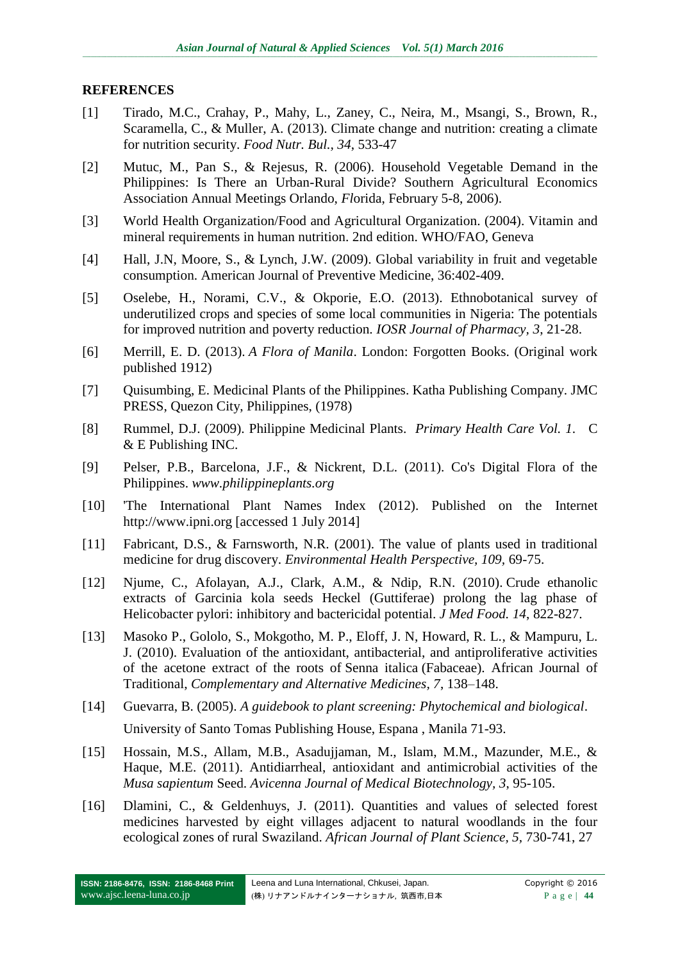#### **REFERENCES**

- [1] Tirado, M.C., Crahay, P., Mahy, L., Zaney, C., Neira, M., Msangi, S., Brown, R., Scaramella, C., & Muller, A. (2013). Climate change and nutrition: creating a climate for nutrition security. *Food Nutr. Bul., 34*, 533-47
- [2] Mutuc, M., Pan S., & Rejesus, R. (2006). Household Vegetable Demand in the Philippines: Is There an Urban-Rural Divide? Southern Agricultural Economics Association Annual Meetings Orlando, *Fl*orida, February 5-8, 2006).
- [3] World Health Organization/Food and Agricultural Organization. (2004). Vitamin and mineral requirements in human nutrition. 2nd edition. WHO/FAO, Geneva
- [4] Hall, J.N, Moore, S., & Lynch, J.W. (2009). Global variability in fruit and vegetable consumption. American Journal of Preventive Medicine, 36:402-409.
- [5] Oselebe, H., Norami, C.V., & Okporie, E.O. (2013). Ethnobotanical survey of underutilized crops and species of some local communities in Nigeria: The potentials for improved nutrition and poverty reduction. *IOSR Journal of Pharmacy, 3*, 21-28.
- [6] Merrill, E. D. (2013). *A Flora of Manila*. London: Forgotten Books. (Original work published 1912)
- [7] Quisumbing, E. Medicinal Plants of the Philippines. Katha Publishing Company. JMC PRESS, Quezon City, Philippines, (1978)
- [8] Rummel, D.J. (2009). Philippine Medicinal Plants. *Primary Health Care Vol. 1*. C & E Publishing INC.
- [9] Pelser, P.B., Barcelona, J.F., & Nickrent, D.L. (2011). Co's Digital Flora of the Philippines. *[www.philippineplants.org](http://www.philippineplants.org/)*
- [10] 'The International Plant Names Index (2012). Published on the Internet http://www.ipni.org [accessed 1 July 2014]
- [11] Fabricant, D.S., & Farnsworth, N.R. (2001). The value of plants used in traditional medicine for drug discovery. *Environmental Health Perspective, 109,* 69-75.
- [12] Njume, C., Afolayan, A.J., Clark, A.M., & Ndip, R.N. (2010). Crude ethanolic extracts of Garcinia kola seeds Heckel (Guttiferae) prolong the lag phase of Helicobacter pylori: inhibitory and bactericidal potential. *[J Med Food.](http://www.ncbi.nlm.nih.gov/pubmed/21476930) 14*, 822-827.
- [13] Masoko P., Gololo, S., Mokgotho, M. P., Eloff, J. N, Howard, R. L., & Mampuru, L. J. (2010). Evaluation of the antioxidant, antibacterial, and antiproliferative activities of the acetone extract of the roots of Senna italica (Fabaceae). African Journal of Traditional, *Complementary and Alternative Medicines, 7*, 138–148.
- [14] Guevarra, B. (2005). *A guidebook to plant screening: Phytochemical and biological*. University of Santo Tomas Publishing House, Espana , Manila 71-93.
- [15] Hossain, M.S., Allam, M.B., Asadujjaman, M., Islam, M.M., Mazunder, M.E., & Haque, M.E. (2011). Antidiarrheal, antioxidant and antimicrobial activities of the *Musa sapientum* Seed. *Avicenna Journal of Medical Biotechnology, 3*, 95-105.
- [16] Dlamini, C., & Geldenhuys, J. (2011). Quantities and values of selected forest medicines harvested by eight villages adjacent to natural woodlands in the four ecological zones of rural Swaziland. *African Journal of Plant Science, 5,* 730-741, 27